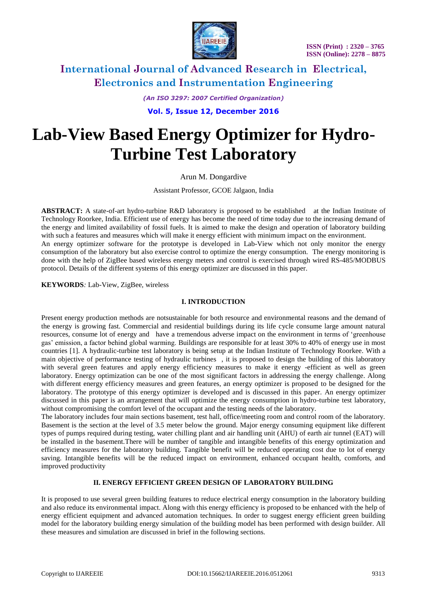

*(An ISO 3297: 2007 Certified Organization)* **Vol. 5, Issue 12, December 2016**

# **Lab-View Based Energy Optimizer for Hydro-Turbine Test Laboratory**

Arun M. Dongardive

Assistant Professor, GCOE Jalgaon, India

**ABSTRACT:** A state-of-art hydro-turbine R&D laboratory is proposed to be established at the Indian Institute of Technology Roorkee, India. Efficient use of energy has become the need of time today due to the increasing demand of the energy and limited availability of fossil fuels. It is aimed to make the design and operation of laboratory building with such a features and measures which will make it energy efficient with minimum impact on the environment. An energy optimizer software for the prototype is developed in Lab-View which not only monitor the energy consumption of the laboratory but also exercise control to optimize the energy consumption. The energy monitoring is done with the help of ZigBee based wireless energy meters and control is exercised through wired RS-485/MODBUS

**KEYWORDS***:* Lab-View, ZigBee, wireless

#### **I. INTRODUCTION**

protocol. Details of the different systems of this energy optimizer are discussed in this paper.

Present energy production methods are notsustainable for both resource and environmental reasons and the demand of the energy is growing fast. Commercial and residential buildings during its life cycle consume large amount natural resources, consume lot of energy and have a tremendous adverse impact on the environment in terms of 'greenhouse gas' emission, a factor behind global warming. Buildings are responsible for at least 30% to 40% of energy use in most countries [1]. A hydraulic-turbine test laboratory is being setup at the Indian Institute of Technology Roorkee. With a main objective of performance testing of hydraulic turbines , it is proposed to design the building of this laboratory with several green features and apply energy efficiency measures to make it energy -efficient as well as green laboratory. Energy optimization can be one of the most significant factors in addressing the energy challenge. Along with different energy efficiency measures and green features, an energy optimizer is proposed to be designed for the laboratory. The prototype of this energy optimizer is developed and is discussed in this paper. An energy optimizer discussed in this paper is an arrangement that will optimize the energy consumption in hydro-turbine test laboratory, without compromising the comfort level of the occupant and the testing needs of the laboratory.

The laboratory includes four main sections basement, test hall, office/meeting room and control room of the laboratory. Basement is the section at the level of 3.5 meter below the ground. Major energy consuming equipment like different types of pumps required during testing, water chilling plant and air handling unit (AHU) of earth air tunnel (EAT) will be installed in the basement.There will be number of tangible and intangible benefits of this energy optimization and efficiency measures for the laboratory building. Tangible benefit will be reduced operating cost due to lot of energy saving. Intangible benefits will be the reduced impact on environment, enhanced occupant health, comforts, and improved productivity

### **II. ENERGY EFFICIENT GREEN DESIGN OF LABORATORY BUILDING**

It is proposed to use several green building features to reduce electrical energy consumption in the laboratory building and also reduce its environmental impact. Along with this energy efficiency is proposed to be enhanced with the help of energy efficient equipment and advanced automation techniques. In order to suggest energy efficient green building model for the laboratory building energy simulation of the building model has been performed with design builder. All these measures and simulation are discussed in brief in the following sections.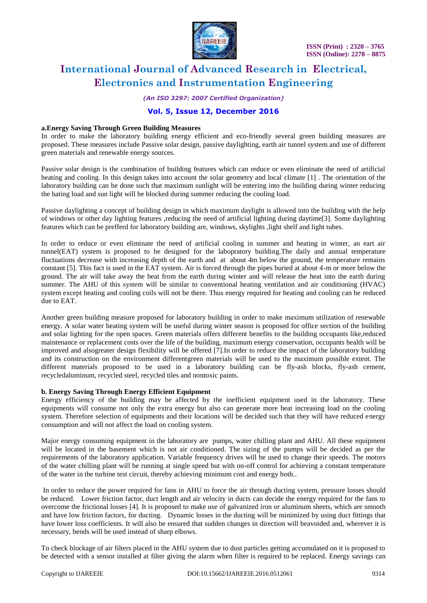

*(An ISO 3297: 2007 Certified Organization)*

### **Vol. 5, Issue 12, December 2016**

#### **a.Energy Saving Through Green Building Measures**

In order to make the laboratory building energy efficient and eco-friendly several green building measures are proposed. These measures include Passive solar design, passive daylighting, earth air tunnel system and use of different green materials and renewable energy sources.

Passive solar design is the combination of building features which can reduce or even eliminate the need of artificial heating and cooling. In this design takes into account the solar geometry and local climate [1] . The orientation of the laboratory building can be done such that maximum sunlight will be entering into the building during winter reducing the hating load and sun light will be blocked during summer reducing the cooling load.

Passive daylighting a concept of building design in which maximum daylight is allowed into the building with the help of windows or other day lighting features ,reducing the need of artificial lighting during daytime[3]. Some daylighting features which can be prefferd for laboratory building are, windows, skylights ,light shelf and light tubes.

In order to reduce or even eliminate the need of artificial cooling in summer and heating in winter, an eart air tunnel(EAT) system is proposed to be designed for the labopratory building.The daily and annual temperature fluctuations decrease with increasing depth of the earth and at about 4m below the ground, the temperature remains constant [5]. This fact is used in the EAT system. Air is forced through the pipes buried at about 4-m or more below the ground. The air will take away the heat from the earth during winter and will release the heat into the earth during summer. The AHU of this system will be similar to conventional heating ventilation and air conditioning (HVAC) system except heating and cooling coils will not be there. Thus energy required for heating and cooling can be reduced due to EAT.

Another green building measure proposed for laboratory building in order to make maximum utilization of renewable energy. A solar water heating system will be useful during winter season is proposed for office section of the building and solar lighting for the open spaces. Green materials offers different benefits to the building occupants like,reduced maintenance or replacement costs over the life of the building, maximum energy conservation, occupants health will be improved and alsogreater design flexibility will be offered [7].In order to reduce the impact of the laboratory building and its construction on the environment differentgreen materials will be used to the maximum possible extent. The different materials proposed to be used in a laboratory building can be fly-ash blocks, fly-ash cement, recycledaluminum, recycled steel, recycled tiles and nontoxic paints.

#### **b. Energy Saving Through Energy Efficient Equipment**

Energy efficiency of the building may be affected by the inefficient equipment used in the laboratory. These equipments will consume not only the extra energy but also can generate more heat increasing load on the cooling system. Therefore selection of equipments and their locations will be decided such that they will have reduced energy consumption and will not affect the load on cooling system.

Major energy consuming equipment in the laboratory are pumps, water chilling plant and AHU. All these equipment will be located in the basement which is not air conditioned. The sizing of the pumps will be decided as per the requirements of the laboratory application. Variable frequency drives will be used to change their speeds. The motors of the water chilling plant will be running at single speed but with on-off control for achieving a constant temperature of the water in the turbine test circuit, thereby achieving minimum cost and energy both..

In order to reduce the power required for fans in AHU to force the air through ducting system, pressure losses should be reduced. Lower friction factor, duct length and air velocity in ducts can decide the energy required for the fans to overcome the frictional losses [4]. It is proposed to make use of galvanized iron or aluminum sheets, which are smooth and have low friction factors, for ducting. Dynamic losses in the ducting will be minimized by using duct fittings that have lower loss coefficients. It will also be ensured that sudden changes in direction will beavoided and, wherever it is necessary, bends will be used instead of sharp elbows.

To check blockage of air filters placed in the AHU system due to dust particles getting accumulated on it is proposed to be detected with a sensor installed at filter giving the alarm when filter is required to be replaced. Energy savings can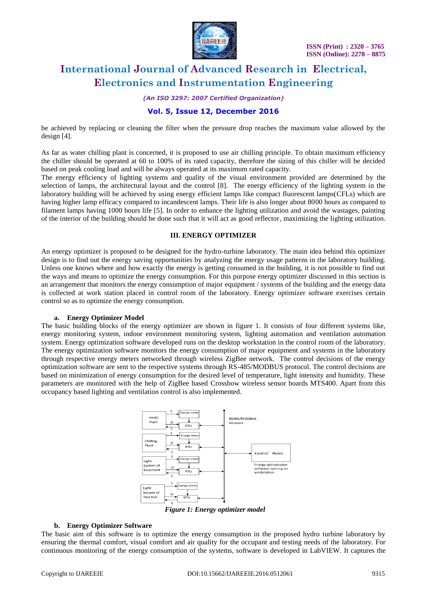

*(An ISO 3297: 2007 Certified Organization)*

### **Vol. 5, Issue 12, December 2016**

be achieved by replacing or cleaning the filter when the pressure drop reaches the maximum value allowed by the design [4].

As far as water chilling plant is concerned, it is proposed to use air chilling principle. To obtain maximum efficiency the chiller should be operated at 60 to 100% of its rated capacity, therefore the sizing of this chiller will be decided based on peak cooling load and will be always operated at its maximum rated capacity.

The energy efficiency of lighting systems and quality of the visual environment provided are determined by the selection of lamps, the architectural layout and the control [8]. The energy efficiency of the lighting system in the laboratory building will be achieved by using energy efficient lamps like compact fluorescent lamps(CFLs) which are having higher lamp efficacy compared to incandescent lamps. Their life is also longer about 8000 hours as compared to filament lamps having 1000 hours life [5]. In order to enhance the lighting utilization and avoid the wastages, painting of the interior of the building should be done such that it will act as good reflector, maximizing the lighting utilization.

#### **III. ENERGY OPTIMIZER**

An energy optimizer is proposed to be designed for the hydro-turbine laboratory. The main idea behind this optimizer design is to find out the energy saving opportunities by analyzing the energy usage patterns in the laboratory building. Unless one knows where and how exactly the energy is getting consumed in the building, it is not possible to find out the ways and means to optimize the energy consumption. For this purpose energy optimizer discussed in this section is an arrangement that monitors the energy consumption of major equipment / systems of the building and the energy data is collected at work station placed in control room of the laboratory. Energy optimizer software exercises certain control so as to optimize the energy consumption.

#### **a. Energy Optimizer Model**

The basic building blocks of the energy optimizer are shown in figure 1. It consists of four different systems like, energy monitoring system, indoor environment monitoring system, lighting automation and ventilation automation system. Energy optimization software developed runs on the desktop workstation in the control room of the laboratory. The energy optimization software monitors the energy consumption of major equipment and systems in the laboratory through respective energy meters networked through wireless ZigBee network. The control decisions of the energy optimization software are sent to the respective systems through RS-485/MODBUS protocol. The control decisions are based on minimization of energy consumption for the desired level of temperature, light intensity and humidity. These parameters are monitored with the help of ZigBee based Crossbow wireless sensor boards MTS400. Apart from this occupancy based lighting and ventilation control is also implemented.



*Figure 1: Energy optimizer model*

#### **b. Energy Optimizer Software**

The basic aim of this software is to optimize the energy consumption in the proposed hydro turbine laboratory by ensuring the thermal comfort, visual comfort and air quality for the occupant and testing needs of the laboratory. For continuous monitoring of the energy consumption of the systems, software is developed in LabVIEW. It captures the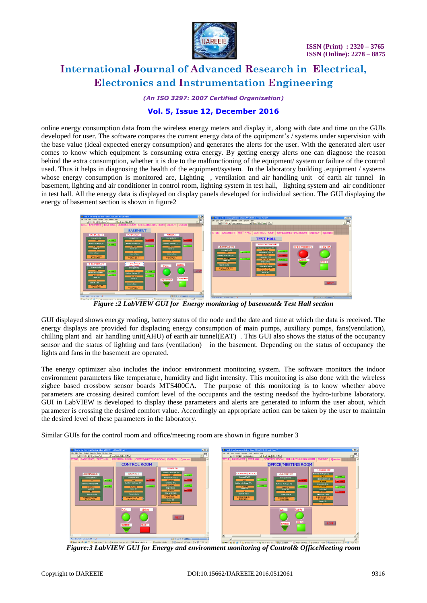

*(An ISO 3297: 2007 Certified Organization)*

### **Vol. 5, Issue 12, December 2016**

online energy consumption data from the wireless energy meters and display it, along with date and time on the GUIs developed for user. The software compares the current energy data of the equipment's / systems under supervision with the base value (Ideal expected energy consumption) and generates the alerts for the user. With the generated alert user comes to know which equipment is consuming extra energy. By getting energy alerts one can diagnose the reason behind the extra consumption, whether it is due to the malfunctioning of the equipment/ system or failure of the control used. Thus it helps in diagnosing the health of the equipment/system. In the laboratory building ,equipment / systems whose energy consumption is monitored are, Lighting , ventilation and air handling unit of earth air tunnel in basement, lighting and air conditioner in control room, lighting system in test hall, lighting system and air conditioner in test hall. All the energy data is displayed on display panels developed for individual section. The GUI displaying the energy of basement section is shown in figure2



*Figure :2 LabVIEW GUI for Energy monitoring of basement& Test Hall section* 

GUI displayed shows energy reading, battery status of the node and the date and time at which the data is received. The energy displays are provided for displacing energy consumption of main pumps, auxiliary pumps, fans(ventilation), chilling plant and air handling unit(AHU) of earth air tunnel(EAT) . This GUI also shows the status of the occupancy sensor and the status of lighting and fans (ventilation) in the basement. Depending on the status of occupancy the lights and fans in the basement are operated.

The energy optimizer also includes the indoor environment monitoring system. The software monitors the indoor environment parameters like temperature, humidity and light intensity. This monitoring is also done with the wireless zigbee based crossbow sensor boards MTS400CA. The purpose of this monitoring is to know whether above parameters are crossing desired comfort level of the occupants and the testing needsof the hydro-turbine laboratory. GUI in LabVIEW is developed to display these parameters and alerts are generated to inform the user about, which parameter is crossing the desired comfort value. Accordingly an appropriate action can be taken by the user to maintain the desired level of these parameters in the laboratory.

Similar GUIs for the control room and office/meeting room are shown in figure number 3

| $E = 1$<br><sup>15</sup> Final vi for Energy optimizer latest 20062011.vi Front Panel *                                                                                                                                                                                                                                                                                                                                                                                                                                                                                                                                                                                | $-0x$<br>E. Final vi for Energy optimizer latest 20062011.vi Front Panel *                                                                                                                                                                                                                                                                                                                                                                                                                                                                                                                                                                                                         |
|------------------------------------------------------------------------------------------------------------------------------------------------------------------------------------------------------------------------------------------------------------------------------------------------------------------------------------------------------------------------------------------------------------------------------------------------------------------------------------------------------------------------------------------------------------------------------------------------------------------------------------------------------------------------|------------------------------------------------------------------------------------------------------------------------------------------------------------------------------------------------------------------------------------------------------------------------------------------------------------------------------------------------------------------------------------------------------------------------------------------------------------------------------------------------------------------------------------------------------------------------------------------------------------------------------------------------------------------------------------|
| Elle Edit Here Erotect Operate Tools Window Help<br>國                                                                                                                                                                                                                                                                                                                                                                                                                                                                                                                                                                                                                  | Elle Edit Vew Broject Operate Tools Window Help<br>$\begin{picture}(20,20) \put(0,0){\line(1,0){10}} \put(15,0){\line(1,0){10}} \put(15,0){\line(1,0){10}} \put(15,0){\line(1,0){10}} \put(15,0){\line(1,0){10}} \put(15,0){\line(1,0){10}} \put(15,0){\line(1,0){10}} \put(15,0){\line(1,0){10}} \put(15,0){\line(1,0){10}} \put(15,0){\line(1,0){10}} \put(15,0){\line(1,0){10}} \put(15,0){\line(1$                                                                                                                                                                                                                                                                             |
| - 「「 「 」 「 」 「 」 「 」 「 」<br>ap @ 8   250 Close Fork                                                                                                                                                                                                                                                                                                                                                                                                                                                                                                                                                                                                                    | $  a - a $ $ a - a $ $ b - a $<br>ab 33 8 11 24st Dialog Font                                                                                                                                                                                                                                                                                                                                                                                                                                                                                                                                                                                                                      |
| TITLE   BASEMENT   TEST HALL   CONTROL ROOM   OFFICE/MEETING ROOM   ENERGY   Queries                                                                                                                                                                                                                                                                                                                                                                                                                                                                                                                                                                                   | TITLE   BASEMENT   TEST HALL   CONTROL ROOM   OFFICE/MEETING ROOM   ENERGY   Queries                                                                                                                                                                                                                                                                                                                                                                                                                                                                                                                                                                                               |
| <b>CONTROL ROOM</b>                                                                                                                                                                                                                                                                                                                                                                                                                                                                                                                                                                                                                                                    | <b>OFFICE/MEETING ROOM</b>                                                                                                                                                                                                                                                                                                                                                                                                                                                                                                                                                                                                                                                         |
| MISHOLCR.<br><b>Battery Voltage (V)</b><br>A.C.(C.R.)<br>LIGHTING(C.R.)<br><b>ROBBILL</b><br>2.7225<br>Energy(Kwh)<br>Energy(Kwh)<br>Temperature (C)<br><b>ATACHUM</b><br><b>UTICATOR</b><br><b>NORMAL</b><br>26.0252<br>115<br>205<br><b>Battery Voltage (V)</b><br>Humidity (%)<br>Battery Voltage (V)<br>53,0645<br><b>NORMAL</b><br><b>NORMAL</b><br>NORMAL.<br>2.76523<br>2.63513<br>Light (lux)<br>Node ID<br>Node ID<br><b>ABRORING</b><br>9.92561<br>12 <sup>7</sup><br>$\overline{11}$<br><b>Time and Date</b><br>Time & Date<br>Time & Date<br>6:59:51.343 PM<br>6:59:58.015 PM<br>6/21/2011<br>6:59:53.875 PM<br>6/21/2011<br>6/21/2011<br>Node ID<br>$5 -$ | <b>MTS400-OFF</b><br>LIGHTING(OFFICE)<br><b>Battery Voltage (V)</b><br>A.C.(OFFICE)<br>2,69323<br><b>ROBBUL</b><br>Energy(Kwh)<br>Energy(Kwh)<br>Temperature (C)<br><b>NORMAL</b><br>155<br><b>REGIONAL</b><br>201<br><b>ATASONA</b><br>26,4956<br><b>Battery Voltage (V)</b><br><b>Battery Voltage (V)</b><br>Humidity (%)<br><b>NORMAL</b><br>NORMAL.<br>52,2306<br>2.73543<br><b>FACILITIES</b><br>2,00573<br>Node ID<br>Node ID<br>Light (lux)<br>$\overline{a}$<br>ABRICANA<br>10.5765<br>$\mathbf{d}$<br>Date & Time<br>Date & Time<br>Time and Date<br>6:50:45.320 PM<br>7:00:02.140 PM<br>6:59:45.609 PM<br>6/21/2011<br>6/21/2011<br>6/21/2011<br>Node ID<br>$\mathbf{R}$ |
| A.C.<br>Lights<br>NEXT<br><b>RESET</b><br><b>SWITCH</b><br>$10000 = 100000$<br>Page 11 of 12 Words 2,509 3                                                                                                                                                                                                                                                                                                                                                                                                                                                                                                                                                             | Lights<br>A.C.<br>$PIR-2$<br><b>NEXT</b><br>Switch<br>$\overline{\cdot}$                                                                                                                                                                                                                                                                                                                                                                                                                                                                                                                                                                                                           |
| El chapter5 DST AM    W R 7:22 PM<br>Start & C & " L 3 Windows Explo- & What does pertal 3 2 Lab/IEW 9.0  - V untitled - Paint                                                                                                                                                                                                                                                                                                                                                                                                                                                                                                                                         | Start & O & " C3 Windows  - & What does po 3 2 Laby EW  - C Microsoft Acc If untitled - Paint   @ chapter5 DST   < 2 7/21 PM                                                                                                                                                                                                                                                                                                                                                                                                                                                                                                                                                       |
|                                                                                                                                                                                                                                                                                                                                                                                                                                                                                                                                                                                                                                                                        |                                                                                                                                                                                                                                                                                                                                                                                                                                                                                                                                                                                                                                                                                    |

*Figure:3 LabVIEW GUI for Energy and environment monitoring of Control& OfficeMeeting room*